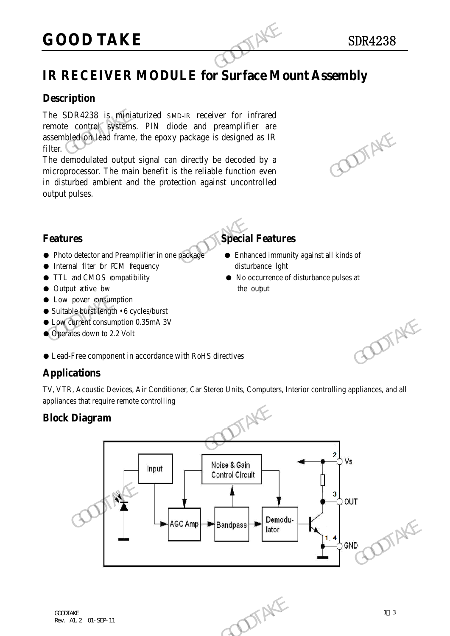# **GOOD TAKE** SDR4238

### **Description**

The SDR4238 is miniaturized SMD-IR receiver for infrared remote control systems. PIN diode and preamplifier are assembled on lead frame, the epoxy package is designed as IR filter.

The demodulated output signal can directly be decoded by a microprocessor. The main benefit is the reliable function even in disturbed ambient and the protection against uncontrolled output pulses. GOOD TAKE<br>
IR RECEIVER MODULE for Surface Mo<br>
Description<br>
The SDR4238 is miniaturized SMD-IR receiver for infrared<br>
remote control systems. PIN diode and preamplifier are<br>
assembled (onlead frame, the epoxy package is des assembled on lead frame, the epoxy package is designed as IR<br>filter.<br>The demodulated output signal can directly be decoded by a<br>microprocessor. The main benefit is the reliable function even<br>in disturbed ambient and the p

- Photo detector and Preamplifier in one package Enhanced immunity against all kinds of
- Internal filter for PCM fequency disturbance lght
- 
- Output active bw the output
- **Low power consumption**
- Suitable burst length 6 cycles/burst
- Low current consumption 0.35mA 3V
- Operates down to 2.2 Volt
- Lead-Free component in accordance with RoHS directives

#### **Applications**

TV, VTR, Acoustic Devices, Air Conditioner, Car Stereo Units, Computers, Interior controlling appliances, and all appliances that require remote controlling

#### **Block Diagram**



### **Features Special Features**

- 
- TTL and CMOS compatibility No occurrence of disturbance pulses at

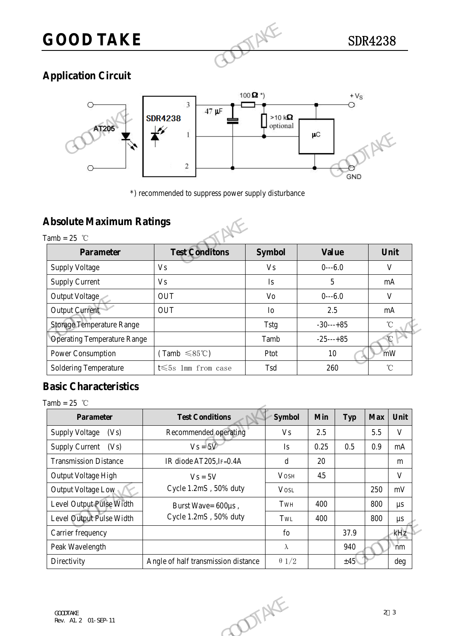# GOOD TAKE SDR4238

## **Application Circuit**



## **Absolute Maximum Ratings**



|                                                   | $\boldsymbol{2}$                                    |                | μC<br><b>GND</b> |                   |
|---------------------------------------------------|-----------------------------------------------------|----------------|------------------|-------------------|
| <b>Absolute Maximum Ratings</b><br>Tamb = $25$ °C | *) recommended to suppress power supply disturbance |                |                  |                   |
| <b>Parameter</b>                                  | <b>Test Conditons</b>                               | <b>Symbol</b>  | <b>Value</b>     | Unit              |
| <b>Supply Voltage</b>                             | V <sub>s</sub>                                      | V <sub>S</sub> | $0--6.0$         | V                 |
| <b>Supply Current</b>                             | V <sub>s</sub>                                      | <b>Is</b>      | 5                | mA                |
| Output Voltage                                    | <b>OUT</b>                                          | Vo             | $0--6.0$         | V                 |
| <b>Output Current</b>                             | <b>OUT</b>                                          | I <sub>0</sub> | 2.5              | mA                |
| <b>Storage Temperature Range</b>                  |                                                     | <b>Tstg</b>    | $-30---+85$      | $\rm ^{\circ}C$   |
| <b>Operating Temperature Range</b>                |                                                     | Tamb           | $-25$ ---+85     | $\mathcal{C}$     |
| Power Consumption                                 | $(Tamb \leq 85^{\circ}C)$                           | Ptot           | 10               | mW                |
| Soldering Temperature                             | t $\leqslant$ 5s 1mm from case                      | Tsd            | 260              | $^\circ\!{\rm C}$ |

### **Basic Characteristics**

Tamb =  $25$  °C

| <b>Storage Temperature Range</b>   |                                     | $-30---+85$<br>Tstg |      |            | $^\circ\!{\rm C}$ |                   |  |
|------------------------------------|-------------------------------------|---------------------|------|------------|-------------------|-------------------|--|
| <b>Operating Temperature Range</b> |                                     | $-25---+85$<br>Tamb |      |            | Ć                 |                   |  |
| Power Consumption                  | $(Tamb \leq 85^{\circ}C)$           | Ptot                |      | mW<br>10   |                   |                   |  |
| Soldering Temperature              | t $\leqslant$ 5s 1mm from case      | Tsd                 | 260  |            |                   | $^\circ\!{\rm C}$ |  |
| <b>Basic Characteristics</b>       |                                     |                     |      |            |                   |                   |  |
| Tamb = $25$ °C                     |                                     |                     |      |            |                   |                   |  |
| Parameter                          | <b>Test Conditions</b>              | <b>Symbol</b>       | Min  | <b>Typ</b> | <b>Max</b>        | Unit              |  |
| <b>Supply Voltage</b><br>(Vs)      | Recommended operating               | <b>Vs</b>           | 2.5  |            | 5.5               | $\mathbf{V}$      |  |
| <b>Supply Current</b><br>(Vs)      | $V_s = 5V$                          | Is                  | 0.25 | 0.5        | 0.9               | mA                |  |
| <b>Transmission Distance</b>       | IR diode AT205, IF=0.4A             | $\mathbf d$         | 20   |            |                   | m                 |  |
| Output Voltage High                | $Vs = 5V$                           | <b>VOSH</b>         | 4.5  |            |                   | $\mathbf V$       |  |
| Output Voltage Low                 | Cycle 1.2mS, 50% duty               | <b>VOSL</b>         |      |            | 250               | $\rm mV$          |  |
| Level Output Pulse Width           | Burst Wave= 600µs,                  | TwH                 | 400  |            | 800               | $\mu s$           |  |
| Level Output Pulse Width           | Cycle 1.2mS, 50% duty               | TWL                 | 400  |            | 800               | $\mu s$           |  |
| Carrier frequency                  |                                     | $f_{0}$             |      | 37.9       |                   | kHz               |  |
| Peak Wavelength                    |                                     | $\lambda$           |      | 940        |                   | nm                |  |
| Directivity                        | Angle of half transmission distance | $\theta$ 1/2        |      | ±45%       |                   | deg               |  |